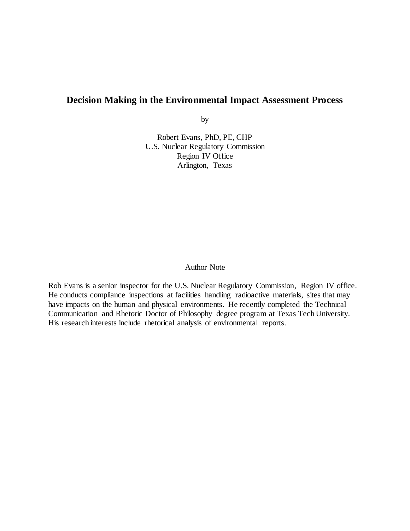## **Decision Making in the Environmental Impact Assessment Process**

by

Robert Evans, PhD, PE, CHP U.S. Nuclear Regulatory Commission Region IV Office Arlington, Texas

#### Author Note

Rob Evans is a senior inspector for the U.S. Nuclear Regulatory Commission, Region IV office. He conducts compliance inspections at facilities handling radioactive materials, sites that may have impacts on the human and physical environments. He recently completed the Technical Communication and Rhetoric Doctor of Philosophy degree program at Texas Tech University. His research interests include rhetorical analysis of environmental reports.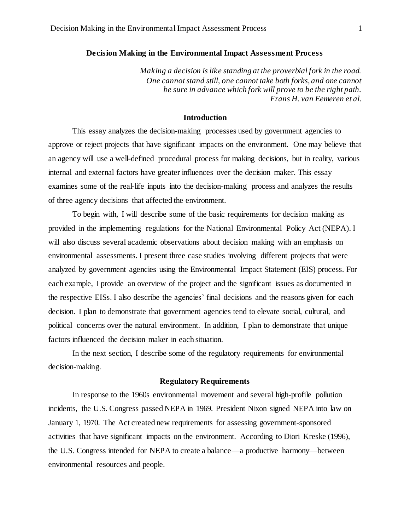#### **Decision Making in the Environmental Impact Assessment Process**

*Making a decision is like standing at the proverbial fork in the road. One cannot stand still, one cannot take both forks, and one cannot be sure in advance which fork will prove to be the right path. Frans H. van Eemeren et al.*

#### **Introduction**

This essay analyzes the decision-making processes used by government agencies to approve or reject projects that have significant impacts on the environment. One may believe that an agency will use a well-defined procedural process for making decisions, but in reality, various internal and external factors have greater influences over the decision maker. This essay examines some of the real-life inputs into the decision-making process and analyzes the results of three agency decisions that affected the environment.

To begin with, I will describe some of the basic requirements for decision making as provided in the implementing regulations for the National Environmental Policy Act (NEPA). I will also discuss several academic observations about decision making with an emphasis on environmental assessments. I present three case studies involving different projects that were analyzed by government agencies using the Environmental Impact Statement (EIS) process. For each example, I provide an overview of the project and the significant issues as documented in the respective EISs. I also describe the agencies' final decisions and the reasons given for each decision. I plan to demonstrate that government agencies tend to elevate social, cultural, and political concerns over the natural environment. In addition, I plan to demonstrate that unique factors influenced the decision maker in each situation.

In the next section, I describe some of the regulatory requirements for environmental decision-making.

#### **Regulatory Requirements**

In response to the 1960s environmental movement and several high-profile pollution incidents, the U.S. Congress passed NEPA in 1969. President Nixon signed NEPA into law on January 1, 1970. The Act created new requirements for assessing government-sponsored activities that have significant impacts on the environment. According to Diori Kreske (1996), the U.S. Congress intended for NEPA to create a balance—a productive harmony—between environmental resources and people.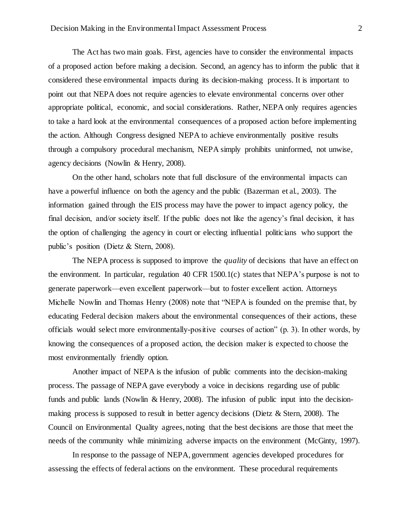The Act has two main goals. First, agencies have to consider the environmental impacts of a proposed action before making a decision. Second, an agency has to inform the public that it considered these environmental impacts during its decision-making process. It is important to point out that NEPA does not require agencies to elevate environmental concerns over other appropriate political, economic, and social considerations. Rather, NEPA only requires agencies to take a hard look at the environmental consequences of a proposed action before implementing the action. Although Congress designed NEPA to achieve environmentally positive results through a compulsory procedural mechanism, NEPA simply prohibits uninformed, not unwise, agency decisions (Nowlin & Henry, 2008).

On the other hand, scholars note that full disclosure of the environmental impacts can have a powerful influence on both the agency and the public (Bazerman et al., 2003). The information gained through the EIS process may have the power to impact agency policy, the final decision, and/or society itself. If the public does not like the agency's final decision, it has the option of challenging the agency in court or electing influential politicians who support the public's position (Dietz & Stern, 2008).

The NEPA process is supposed to improve the *quality* of decisions that have an effect on the environment. In particular, regulation 40 CFR 1500.1(c) states that NEPA's purpose is not to generate paperwork—even excellent paperwork—but to foster excellent action. Attorneys Michelle Nowlin and Thomas Henry (2008) note that "NEPA is founded on the premise that, by educating Federal decision makers about the environmental consequences of their actions, these officials would select more environmentally-positive courses of action" (p. 3). In other words, by knowing the consequences of a proposed action, the decision maker is expected to choose the most environmentally friendly option.

Another impact of NEPA is the infusion of public comments into the decision-making process. The passage of NEPA gave everybody a voice in decisions regarding use of public funds and public lands (Nowlin & Henry, 2008). The infusion of public input into the decisionmaking process is supposed to result in better agency decisions (Dietz & Stern, 2008). The Council on Environmental Quality agrees, noting that the best decisions are those that meet the needs of the community while minimizing adverse impacts on the environment (McGinty, 1997).

In response to the passage of NEPA, government agencies developed procedures for assessing the effects of federal actions on the environment. These procedural requirements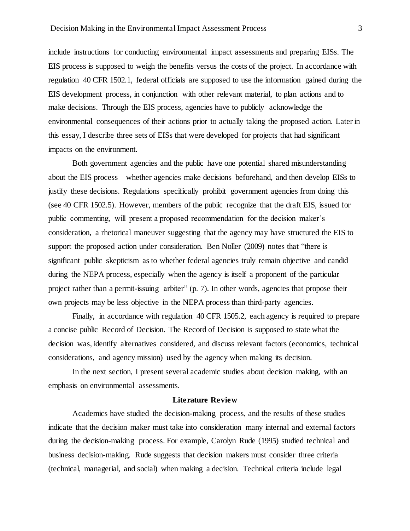include instructions for conducting environmental impact assessments and preparing EISs. The EIS process is supposed to weigh the benefits versus the costs of the project. In accordance with regulation 40 CFR 1502.1, federal officials are supposed to use the information gained during the EIS development process, in conjunction with other relevant material, to plan actions and to make decisions. Through the EIS process, agencies have to publicly acknowledge the environmental consequences of their actions prior to actually taking the proposed action. Later in this essay, I describe three sets of EISs that were developed for projects that had significant impacts on the environment.

Both government agencies and the public have one potential shared misunderstanding about the EIS process—whether agencies make decisions beforehand, and then develop EISs to justify these decisions. Regulations specifically prohibit government agencies from doing this (see 40 CFR 1502.5). However, members of the public recognize that the draft EIS, issued for public commenting, will present a proposed recommendation for the decision maker's consideration, a rhetorical maneuver suggesting that the agency may have structured the EIS to support the proposed action under consideration. Ben Noller (2009) notes that "there is significant public skepticism as to whether federal agencies truly remain objective and candid during the NEPA process, especially when the agency is itself a proponent of the particular project rather than a permit-issuing arbiter" (p. 7). In other words, agencies that propose their own projects may be less objective in the NEPA process than third-party agencies.

Finally, in accordance with regulation 40 CFR 1505.2, each agency is required to prepare a concise public Record of Decision. The Record of Decision is supposed to state what the decision was, identify alternatives considered, and discuss relevant factors (economics, technical considerations, and agency mission) used by the agency when making its decision.

In the next section, I present several academic studies about decision making, with an emphasis on environmental assessments.

## **Literature Review**

Academics have studied the decision-making process, and the results of these studies indicate that the decision maker must take into consideration many internal and external factors during the decision-making process. For example, Carolyn Rude (1995) studied technical and business decision-making. Rude suggests that decision makers must consider three criteria (technical, managerial, and social) when making a decision. Technical criteria include legal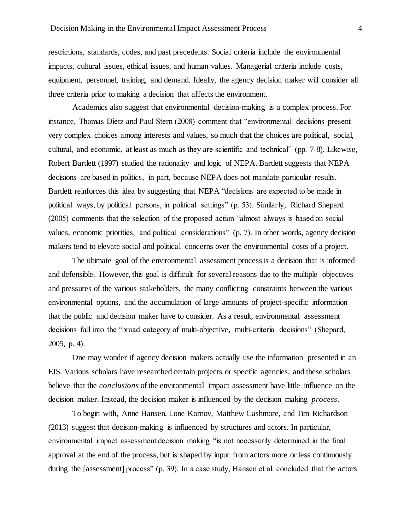restrictions, standards, codes, and past precedents. Social criteria include the environmental impacts, cultural issues, ethical issues, and human values. Managerial criteria include costs, equipment, personnel, training, and demand. Ideally, the agency decision maker will consider all three criteria prior to making a decision that affects the environment.

Academics also suggest that environmental decision-making is a complex process. For instance, Thomas Dietz and Paul Stern (2008) comment that "environmental decisions present very complex choices among interests and values, so much that the choices are political, social, cultural, and economic, at least as much as they are scientific and technical" (pp. 7-8). Likewise, Robert Bartlett (1997) studied the rationality and logic of NEPA. Bartlett suggests that NEPA decisions are based in politics, in part, because NEPA does not mandate particular results. Bartlett reinforces this idea by suggesting that NEPA "decisions are expected to be made in political ways, by political persons, in political settings" (p. 53). Similarly, Richard Shepard (2005) comments that the selection of the proposed action "almost always is based on social values, economic priorities, and political considerations" (p. 7). In other words, agency decision makers tend to elevate social and political concerns over the environmental costs of a project.

The ultimate goal of the environmental assessment process is a decision that is informed and defensible. However, this goal is difficult for several reasons due to the multiple objectives and pressures of the various stakeholders, the many conflicting constraints between the various environmental options, and the accumulation of large amounts of project-specific information that the public and decision maker have to consider. As a result, environmental assessment decisions fall into the "broad category of multi-objective, multi-criteria decisions" (Shepard, 2005, p. 4).

One may wonder if agency decision makers actually use the information presented in an EIS. Various scholars have researched certain projects or specific agencies, and these scholars believe that the *conclusions* of the environmental impact assessment have little influence on the decision maker. Instead, the decision maker is influenced by the decision making *process*.

To begin with, Anne Hansen, Lone Kornov, Matthew Cashmore, and Tim Richardson (2013) suggest that decision-making is influenced by structures and actors. In particular, environmental impact assessment decision making "is not necessarily determined in the final approval at the end of the process, but is shaped by input from actors more or less continuously during the [assessment] process" (p. 39). In a case study, Hansen et al. concluded that the actors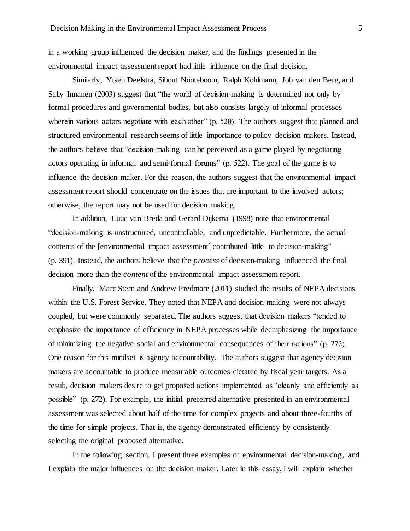in a working group influenced the decision maker, and the findings presented in the environmental impact assessment report had little influence on the final decision.

Similarly, Ytsen Deelstra, Sibout Nooteboom, Ralph Kohlmann, Job van den Berg, and Sally Innanen (2003) suggest that "the world of decision-making is determined not only by formal procedures and governmental bodies, but also consists largely of informal processes wherein various actors negotiate with each other" (p. 520). The authors suggest that planned and structured environmental research seems of little importance to policy decision makers. Instead, the authors believe that "decision-making can be perceived as a game played by negotiating actors operating in informal and semi-formal forums" (p. 522). The goal of the game is to influence the decision maker. For this reason, the authors suggest that the environmental impact assessment report should concentrate on the issues that are important to the involved actors; otherwise, the report may not be used for decision making.

In addition, Luuc van Breda and Gerard Dijkema (1998) note that environmental "decision-making is unstructured, uncontrollable, and unpredictable. Furthermore, the actual contents of the [environmental impact assessment] contributed little to decision-making" (p. 391). Instead, the authors believe that the *process* of decision-making influenced the final decision more than the *content* of the environmental impact assessment report.

Finally, Marc Stern and Andrew Predmore (2011) studied the results of NEPA decisions within the U.S. Forest Service. They noted that NEPA and decision-making were not always coupled, but were commonly separated. The authors suggest that decision makers "tended to emphasize the importance of efficiency in NEPA processes while deemphasizing the importance of minimizing the negative social and environmental consequences of their actions" (p. 272). One reason for this mindset is agency accountability. The authors suggest that agency decision makers are accountable to produce measurable outcomes dictated by fiscal year targets. As a result, decision makers desire to get proposed actions implemented as "cleanly and efficiently as possible" (p. 272). For example, the initial preferred alternative presented in an environmental assessment was selected about half of the time for complex projects and about three-fourths of the time for simple projects. That is, the agency demonstrated efficiency by consistently selecting the original proposed alternative.

In the following section, I present three examples of environmental decision-making, and I explain the major influences on the decision maker. Later in this essay, I will explain whether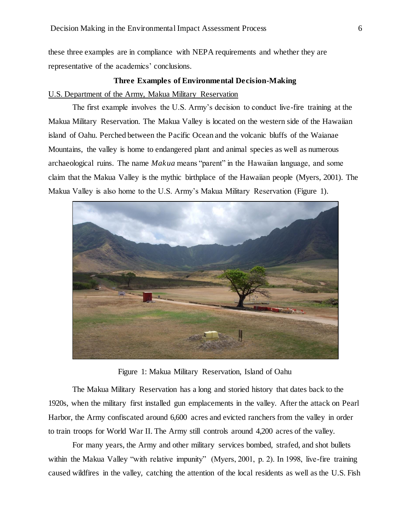these three examples are in compliance with NEPA requirements and whether they are representative of the academics' conclusions.

# **Three Examples of Environmental Decision-Making** U.S. Department of the Army, Makua Military Reservation

The first example involves the U.S. Army's decision to conduct live-fire training at the Makua Military Reservation. The Makua Valley is located on the western side of the Hawaiian island of Oahu. Perched between the Pacific Ocean and the volcanic bluffs of the Waianae Mountains, the valley is home to endangered plant and animal species as well as numerous archaeological ruins. The name *Makua* means "parent" in the Hawaiian language, and some claim that the Makua Valley is the mythic birthplace of the Hawaiian people (Myers, 2001). The Makua Valley is also home to the U.S. Army's Makua Military Reservation (Figure 1).



Figure 1: Makua Military Reservation, Island of Oahu

The Makua Military Reservation has a long and storied history that dates back to the 1920s, when the military first installed gun emplacements in the valley. After the attack on Pearl Harbor, the Army confiscated around 6,600 acres and evicted ranchers from the valley in order to train troops for World War II. The Army still controls around 4,200 acres of the valley.

For many years, the Army and other military services bombed, strafed, and shot bullets within the Makua Valley "with relative impunity" (Myers, 2001, p. 2). In 1998, live-fire training caused wildfires in the valley, catching the attention of the local residents as well as the U.S. Fish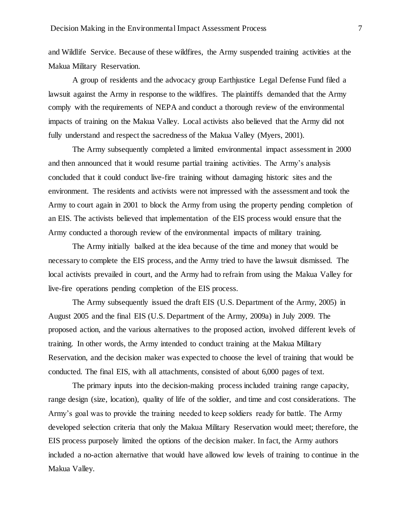and Wildlife Service. Because of these wildfires, the Army suspended training activities at the Makua Military Reservation.

A group of residents and the advocacy group Earthjustice Legal Defense Fund filed a lawsuit against the Army in response to the wildfires. The plaintiffs demanded that the Army comply with the requirements of NEPA and conduct a thorough review of the environmental impacts of training on the Makua Valley. Local activists also believed that the Army did not fully understand and respect the sacredness of the Makua Valley (Myers, 2001).

The Army subsequently completed a limited environmental impact assessment in 2000 and then announced that it would resume partial training activities. The Army's analysis concluded that it could conduct live-fire training without damaging historic sites and the environment. The residents and activists were not impressed with the assessment and took the Army to court again in 2001 to block the Army from using the property pending completion of an EIS. The activists believed that implementation of the EIS process would ensure that the Army conducted a thorough review of the environmental impacts of military training.

The Army initially balked at the idea because of the time and money that would be necessary to complete the EIS process, and the Army tried to have the lawsuit dismissed. The local activists prevailed in court, and the Army had to refrain from using the Makua Valley for live-fire operations pending completion of the EIS process.

The Army subsequently issued the draft EIS (U.S. Department of the Army, 2005) in August 2005 and the final EIS (U.S. Department of the Army, 2009a) in July 2009. The proposed action, and the various alternatives to the proposed action, involved different levels of training. In other words, the Army intended to conduct training at the Makua Military Reservation, and the decision maker was expected to choose the level of training that would be conducted. The final EIS, with all attachments, consisted of about 6,000 pages of text.

The primary inputs into the decision-making process included training range capacity, range design (size, location), quality of life of the soldier, and time and cost considerations. The Army's goal was to provide the training needed to keep soldiers ready for battle. The Army developed selection criteria that only the Makua Military Reservation would meet; therefore, the EIS process purposely limited the options of the decision maker. In fact, the Army authors included a no-action alternative that would have allowed low levels of training to continue in the Makua Valley.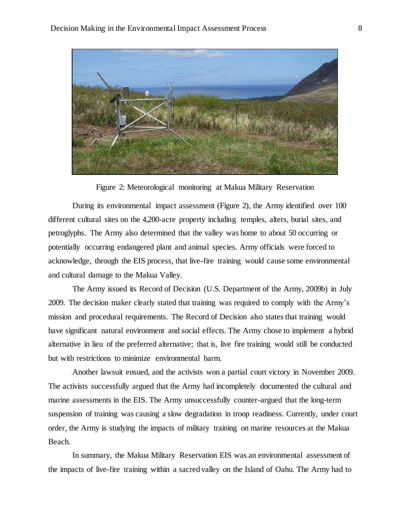

Figure 2: Meteorological monitoring at Makua Military Reservation

During its environmental impact assessment (Figure 2), the Army identified over 100 different cultural sites on the 4,200-acre property including temples, alters, burial sites, and petroglyphs. The Army also determined that the valley was home to about 50 occurring or potentially occurring endangered plant and animal species. Army officials were forced to acknowledge, through the EIS process, that live-fire training would cause some environmental and cultural damage to the Makua Valley.

The Army issued its Record of Decision (U.S. Department of the Army, 2009b) in July 2009. The decision maker clearly stated that training was required to comply with the Army's mission and procedural requirements. The Record of Decision also states that training would have significant natural environment and social effects. The Army chose to implement a hybrid alternative in lieu of the preferred alternative; that is, live fire training would still be conducted but with restrictions to minimize environmental harm.

Another lawsuit ensued, and the activists won a partial court victory in November 2009. The activists successfully argued that the Army had incompletely documented the cultural and marine assessments in the EIS. The Army unsuccessfully counter-argued that the long-term suspension of training was causing a slow degradation in troop readiness. Currently, under court order, the Army is studying the impacts of military training on marine resources at the Makua Beach.

In summary, the Makua Military Reservation EIS was an environmental assessment of the impacts of live-fire training within a sacred valley on the Island of Oahu. The Army had to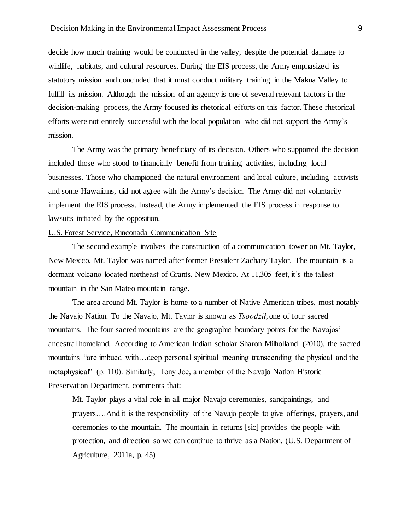decide how much training would be conducted in the valley, despite the potential damage to wildlife, habitats, and cultural resources. During the EIS process, the Army emphasized its statutory mission and concluded that it must conduct military training in the Makua Valley to fulfill its mission. Although the mission of an agency is one of several relevant factors in the decision-making process, the Army focused its rhetorical efforts on this factor. These rhetorical efforts were not entirely successful with the local population who did not support the Army's mission.

The Army was the primary beneficiary of its decision. Others who supported the decision included those who stood to financially benefit from training activities, including local businesses. Those who championed the natural environment and local culture, including activists and some Hawaiians, did not agree with the Army's decision. The Army did not voluntarily implement the EIS process. Instead, the Army implemented the EIS process in response to lawsuits initiated by the opposition.

## U.S. Forest Service, Rinconada Communication Site

The second example involves the construction of a communication tower on Mt. Taylor, New Mexico. Mt. Taylor was named after former President Zachary Taylor. The mountain is a dormant volcano located northeast of Grants, New Mexico. At 11,305 feet, it's the tallest mountain in the San Mateo mountain range.

The area around Mt. Taylor is home to a number of Native American tribes, most notably the Navajo Nation. To the Navajo, Mt. Taylor is known as *Tsoodził*, one of four sacred mountains. The four sacred mountains are the geographic boundary points for the Navajos' ancestral homeland. According to American Indian scholar Sharon Milholland (2010), the sacred mountains "are imbued with…deep personal spiritual meaning transcending the physical and the metaphysical" (p. 110). Similarly, Tony Joe, a member of the Navajo Nation Historic Preservation Department, comments that:

Mt. Taylor plays a vital role in all major Navajo ceremonies, sandpaintings, and prayers….And it is the responsibility of the Navajo people to give offerings, prayers, and ceremonies to the mountain. The mountain in returns [sic] provides the people with protection, and direction so we can continue to thrive as a Nation. (U.S. Department of Agriculture, 2011a, p. 45)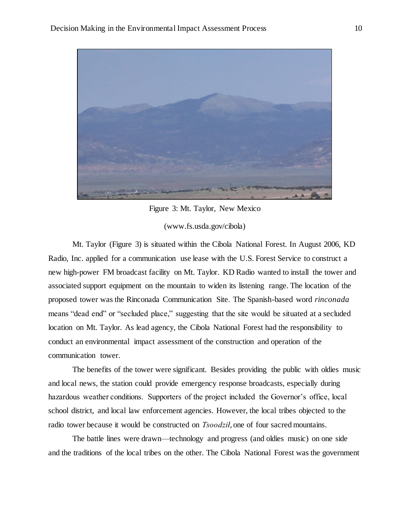

Figure 3: Mt. Taylor, New Mexico

## (www.fs.usda.gov/cibola)

Mt. Taylor (Figure 3) is situated within the Cibola National Forest. In August 2006, KD Radio, Inc. applied for a communication use lease with the U.S. Forest Service to construct a new high-power FM broadcast facility on Mt. Taylor. KD Radio wanted to install the tower and associated support equipment on the mountain to widen its listening range. The location of the proposed tower was the Rinconada Communication Site. The Spanish-based word *rinconada* means "dead end" or "secluded place," suggesting that the site would be situated at a secluded location on Mt. Taylor. As lead agency, the Cibola National Forest had the responsibility to conduct an environmental impact assessment of the construction and operation of the communication tower.

The benefits of the tower were significant. Besides providing the public with oldies music and local news, the station could provide emergency response broadcasts, especially during hazardous weather conditions. Supporters of the project included the Governor's office, local school district, and local law enforcement agencies. However, the local tribes objected to the radio tower because it would be constructed on *Tsoodził*, one of four sacred mountains.

The battle lines were drawn—technology and progress (and oldies music) on one side and the traditions of the local tribes on the other. The Cibola National Forest was the government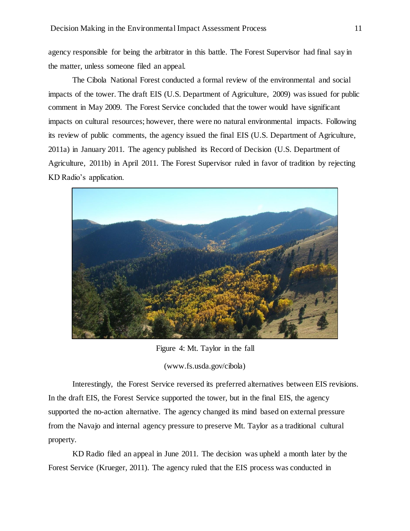agency responsible for being the arbitrator in this battle. The Forest Supervisor had final say in the matter, unless someone filed an appeal.

The Cibola National Forest conducted a formal review of the environmental and social impacts of the tower. The draft EIS (U.S. Department of Agriculture, 2009) was issued for public comment in May 2009. The Forest Service concluded that the tower would have significant impacts on cultural resources; however, there were no natural environmental impacts. Following its review of public comments, the agency issued the final EIS (U.S. Department of Agriculture, 2011a) in January 2011. The agency published its Record of Decision (U.S. Department of Agriculture, 2011b) in April 2011. The Forest Supervisor ruled in favor of tradition by rejecting KD Radio's application.



Figure 4: Mt. Taylor in the fall

(www.fs.usda.gov/cibola)

Interestingly, the Forest Service reversed its preferred alternatives between EIS revisions. In the draft EIS, the Forest Service supported the tower, but in the final EIS, the agency supported the no-action alternative. The agency changed its mind based on external pressure from the Navajo and internal agency pressure to preserve Mt. Taylor as a traditional cultural property.

KD Radio filed an appeal in June 2011. The decision was upheld a month later by the Forest Service (Krueger, 2011). The agency ruled that the EIS process was conducted in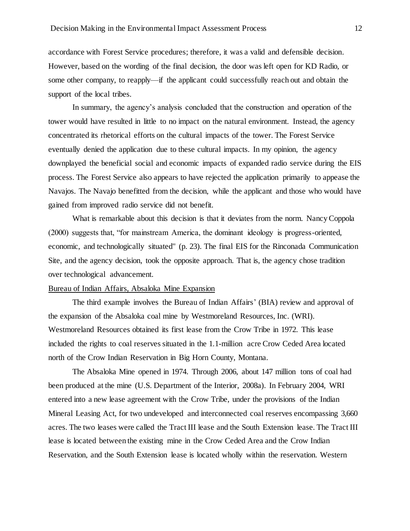accordance with Forest Service procedures; therefore, it was a valid and defensible decision. However, based on the wording of the final decision, the door was left open for KD Radio, or some other company, to reapply—if the applicant could successfully reach out and obtain the support of the local tribes.

In summary, the agency's analysis concluded that the construction and operation of the tower would have resulted in little to no impact on the natural environment. Instead, the agency concentrated its rhetorical efforts on the cultural impacts of the tower. The Forest Service eventually denied the application due to these cultural impacts. In my opinion, the agency downplayed the beneficial social and economic impacts of expanded radio service during the EIS process. The Forest Service also appears to have rejected the application primarily to appease the Navajos. The Navajo benefitted from the decision, while the applicant and those who would have gained from improved radio service did not benefit.

What is remarkable about this decision is that it deviates from the norm. Nancy Coppola (2000) suggests that, "for mainstream America, the dominant ideology is progress-oriented, economic, and technologically situated" (p. 23). The final EIS for the Rinconada Communication Site, and the agency decision, took the opposite approach. That is, the agency chose tradition over technological advancement.

## Bureau of Indian Affairs, Absaloka Mine Expansion

The third example involves the Bureau of Indian Affairs' (BIA) review and approval of the expansion of the Absaloka coal mine by Westmoreland Resources, Inc. (WRI). Westmoreland Resources obtained its first lease from the Crow Tribe in 1972. This lease included the rights to coal reserves situated in the 1.1-million acre Crow Ceded Area located north of the Crow Indian Reservation in Big Horn County, Montana.

The Absaloka Mine opened in 1974. Through 2006, about 147 million tons of coal had been produced at the mine (U.S. Department of the Interior, 2008a). In February 2004, WRI entered into a new lease agreement with the Crow Tribe, under the provisions of the Indian Mineral Leasing Act, for two undeveloped and interconnected coal reserves encompassing 3,660 acres. The two leases were called the Tract III lease and the South Extension lease. The Tract III lease is located between the existing mine in the Crow Ceded Area and the Crow Indian Reservation, and the South Extension lease is located wholly within the reservation. Western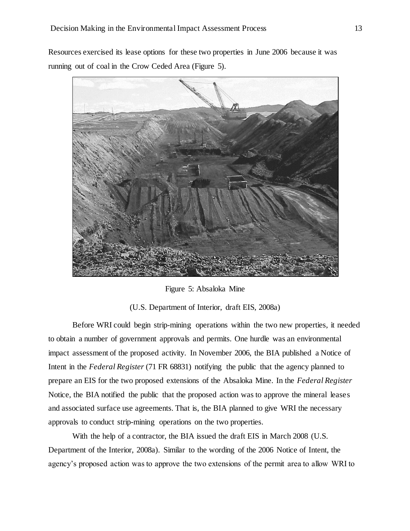Resources exercised its lease options for these two properties in June 2006 because it was running out of coal in the Crow Ceded Area (Figure 5).



Figure 5: Absaloka Mine

(U.S. Department of Interior, draft EIS, 2008a)

Before WRI could begin strip-mining operations within the two new properties, it needed to obtain a number of government approvals and permits. One hurdle was an environmental impact assessment of the proposed activity. In November 2006, the BIA published a Notice of Intent in the *Federal Register* (71 FR 68831) notifying the public that the agency planned to prepare an EIS for the two proposed extensions of the Absaloka Mine. In the *Federal Register* Notice, the BIA notified the public that the proposed action was to approve the mineral leases and associated surface use agreements. That is, the BIA planned to give WRI the necessary approvals to conduct strip-mining operations on the two properties.

With the help of a contractor, the BIA issued the draft EIS in March 2008 (U.S. Department of the Interior, 2008a). Similar to the wording of the 2006 Notice of Intent, the agency's proposed action was to approve the two extensions of the permit area to allow WRI to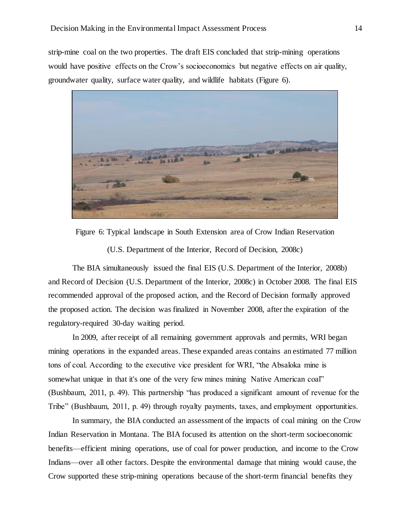strip-mine coal on the two properties. The draft EIS concluded that strip-mining operations would have positive effects on the Crow's socioeconomics but negative effects on air quality, groundwater quality, surface water quality, and wildlife habitats (Figure 6).



Figure 6: Typical landscape in South Extension area of Crow Indian Reservation

(U.S. Department of the Interior, Record of Decision, 2008c)

The BIA simultaneously issued the final EIS (U.S. Department of the Interior, 2008b) and Record of Decision (U.S. Department of the Interior, 2008c) in October 2008. The final EIS recommended approval of the proposed action, and the Record of Decision formally approved the proposed action. The decision was finalized in November 2008, after the expiration of the regulatory-required 30-day waiting period.

In 2009, after receipt of all remaining government approvals and permits, WRI began mining operations in the expanded areas. These expanded areas contains an estimated 77 million tons of coal. According to the executive vice president for WRI, "the Absaloka mine is somewhat unique in that it's one of the very few mines mining Native American coal" (Bushbaum, 2011, p. 49). This partnership "has produced a significant amount of revenue for the Tribe" (Bushbaum, 2011, p. 49) through royalty payments, taxes, and employment opportunities.

In summary, the BIA conducted an assessment of the impacts of coal mining on the Crow Indian Reservation in Montana. The BIA focused its attention on the short-term socioeconomic benefits—efficient mining operations, use of coal for power production, and income to the Crow Indians—over all other factors. Despite the environmental damage that mining would cause, the Crow supported these strip-mining operations because of the short-term financial benefits they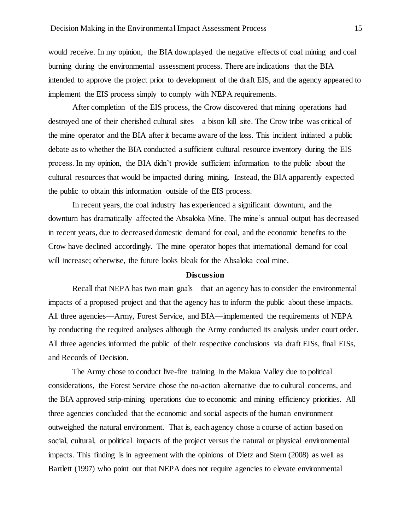would receive. In my opinion, the BIA downplayed the negative effects of coal mining and coal burning during the environmental assessment process. There are indications that the BIA intended to approve the project prior to development of the draft EIS, and the agency appeared to implement the EIS process simply to comply with NEPA requirements.

After completion of the EIS process, the Crow discovered that mining operations had destroyed one of their cherished cultural sites—a bison kill site. The Crow tribe was critical of the mine operator and the BIA after it became aware of the loss. This incident initiated a public debate as to whether the BIA conducted a sufficient cultural resource inventory during the EIS process. In my opinion, the BIA didn't provide sufficient information to the public about the cultural resources that would be impacted during mining. Instead, the BIA apparently expected the public to obtain this information outside of the EIS process.

In recent years, the coal industry has experienced a significant downturn, and the downturn has dramatically affected the Absaloka Mine. The mine's annual output has decreased in recent years, due to decreased domestic demand for coal, and the economic benefits to the Crow have declined accordingly. The mine operator hopes that international demand for coal will increase; otherwise, the future looks bleak for the Absaloka coal mine.

#### **Discussion**

Recall that NEPA has two main goals—that an agency has to consider the environmental impacts of a proposed project and that the agency has to inform the public about these impacts. All three agencies—Army, Forest Service, and BIA—implemented the requirements of NEPA by conducting the required analyses although the Army conducted its analysis under court order. All three agencies informed the public of their respective conclusions via draft EISs, final EISs, and Records of Decision.

The Army chose to conduct live-fire training in the Makua Valley due to political considerations, the Forest Service chose the no-action alternative due to cultural concerns, and the BIA approved strip-mining operations due to economic and mining efficiency priorities. All three agencies concluded that the economic and social aspects of the human environment outweighed the natural environment. That is, each agency chose a course of action based on social, cultural, or political impacts of the project versus the natural or physical environmental impacts. This finding is in agreement with the opinions of Dietz and Stern (2008) as well as Bartlett (1997) who point out that NEPA does not require agencies to elevate environmental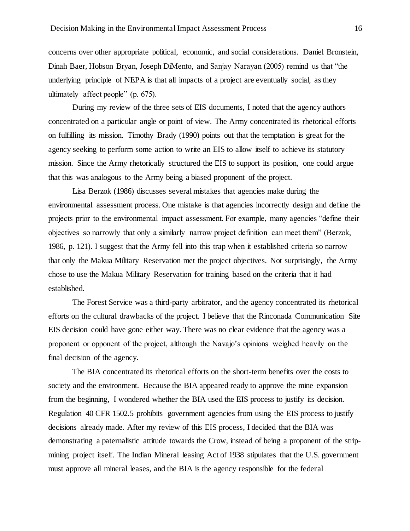concerns over other appropriate political, economic, and social considerations. Daniel Bronstein, Dinah Baer, Hobson Bryan, Joseph DiMento, and Sanjay Narayan (2005) remind us that "the underlying principle of NEPA is that all impacts of a project are eventually social, as they ultimately affect people" (p. 675).

During my review of the three sets of EIS documents, I noted that the agency authors concentrated on a particular angle or point of view. The Army concentrated its rhetorical efforts on fulfilling its mission. Timothy Brady (1990) points out that the temptation is great for the agency seeking to perform some action to write an EIS to allow itself to achieve its statutory mission. Since the Army rhetorically structured the EIS to support its position, one could argue that this was analogous to the Army being a biased proponent of the project.

Lisa Berzok (1986) discusses several mistakes that agencies make during the environmental assessment process. One mistake is that agencies incorrectly design and define the projects prior to the environmental impact assessment. For example, many agencies "define their objectives so narrowly that only a similarly narrow project definition can meet them" (Berzok, 1986, p. 121). I suggest that the Army fell into this trap when it established criteria so narrow that only the Makua Military Reservation met the project objectives. Not surprisingly, the Army chose to use the Makua Military Reservation for training based on the criteria that it had established.

The Forest Service was a third-party arbitrator, and the agency concentrated its rhetorical efforts on the cultural drawbacks of the project. I believe that the Rinconada Communication Site EIS decision could have gone either way. There was no clear evidence that the agency was a proponent or opponent of the project, although the Navajo's opinions weighed heavily on the final decision of the agency.

The BIA concentrated its rhetorical efforts on the short-term benefits over the costs to society and the environment. Because the BIA appeared ready to approve the mine expansion from the beginning, I wondered whether the BIA used the EIS process to justify its decision. Regulation 40 CFR 1502.5 prohibits government agencies from using the EIS process to justify decisions already made. After my review of this EIS process, I decided that the BIA was demonstrating a paternalistic attitude towards the Crow, instead of being a proponent of the stripmining project itself. The Indian Mineral leasing Act of 1938 stipulates that the U.S. government must approve all mineral leases, and the BIA is the agency responsible for the federal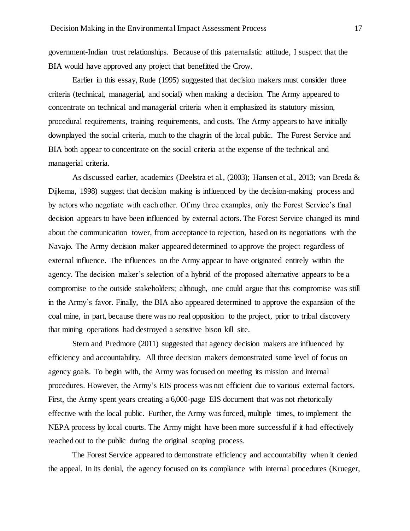government-Indian trust relationships. Because of this paternalistic attitude, I suspect that the BIA would have approved any project that benefitted the Crow.

Earlier in this essay, Rude (1995) suggested that decision makers must consider three criteria (technical, managerial, and social) when making a decision. The Army appeared to concentrate on technical and managerial criteria when it emphasized its statutory mission, procedural requirements, training requirements, and costs. The Army appears to have initially downplayed the social criteria, much to the chagrin of the local public. The Forest Service and BIA both appear to concentrate on the social criteria at the expense of the technical and managerial criteria.

As discussed earlier, academics (Deelstra et al., (2003); Hansen et al., 2013; van Breda & Dijkema, 1998) suggest that decision making is influenced by the decision-making process and by actors who negotiate with each other. Of my three examples, only the Forest Service's final decision appears to have been influenced by external actors. The Forest Service changed its mind about the communication tower, from acceptance to rejection, based on its negotiations with the Navajo. The Army decision maker appeared determined to approve the project regardless of external influence. The influences on the Army appear to have originated entirely within the agency. The decision maker's selection of a hybrid of the proposed alternative appears to be a compromise to the outside stakeholders; although, one could argue that this compromise was still in the Army's favor. Finally, the BIA also appeared determined to approve the expansion of the coal mine, in part, because there was no real opposition to the project, prior to tribal discovery that mining operations had destroyed a sensitive bison kill site.

Stern and Predmore (2011) suggested that agency decision makers are influenced by efficiency and accountability. All three decision makers demonstrated some level of focus on agency goals. To begin with, the Army was focused on meeting its mission and internal procedures. However, the Army's EIS process was not efficient due to various external factors. First, the Army spent years creating a 6,000-page EIS document that was not rhetorically effective with the local public. Further, the Army was forced, multiple times, to implement the NEPA process by local courts. The Army might have been more successful if it had effectively reached out to the public during the original scoping process.

The Forest Service appeared to demonstrate efficiency and accountability when it denied the appeal. In its denial, the agency focused on its compliance with internal procedures (Krueger,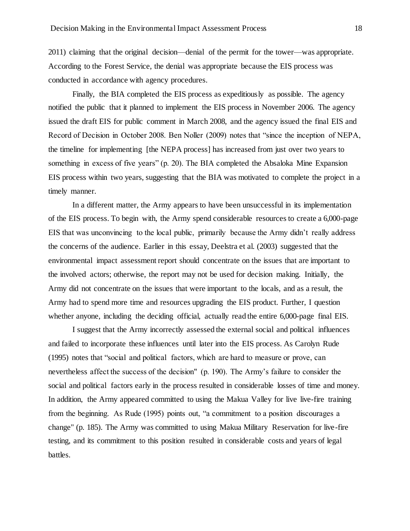2011) claiming that the original decision—denial of the permit for the tower—was appropriate. According to the Forest Service, the denial was appropriate because the EIS process was conducted in accordance with agency procedures.

Finally, the BIA completed the EIS process as expeditiously as possible. The agency notified the public that it planned to implement the EIS process in November 2006. The agency issued the draft EIS for public comment in March 2008, and the agency issued the final EIS and Record of Decision in October 2008. Ben Noller (2009) notes that "since the inception of NEPA, the timeline for implementing [the NEPA process] has increased from just over two years to something in excess of five years" (p. 20). The BIA completed the Absaloka Mine Expansion EIS process within two years, suggesting that the BIA was motivated to complete the project in a timely manner.

In a different matter, the Army appears to have been unsuccessful in its implementation of the EIS process. To begin with, the Army spend considerable resources to create a 6,000-page EIS that was unconvincing to the local public, primarily because the Army didn't really address the concerns of the audience. Earlier in this essay, Deelstra et al. (2003) suggested that the environmental impact assessment report should concentrate on the issues that are important to the involved actors; otherwise, the report may not be used for decision making. Initially, the Army did not concentrate on the issues that were important to the locals, and as a result, the Army had to spend more time and resources upgrading the EIS product. Further, I question whether anyone, including the deciding official, actually read the entire 6,000-page final EIS.

I suggest that the Army incorrectly assessed the external social and political influences and failed to incorporate these influences until later into the EIS process. As Carolyn Rude (1995) notes that "social and political factors, which are hard to measure or prove, can nevertheless affect the success of the decision" (p. 190). The Army's failure to consider the social and political factors early in the process resulted in considerable losses of time and money. In addition, the Army appeared committed to using the Makua Valley for live live-fire training from the beginning. As Rude (1995) points out, "a commitment to a position discourages a change" (p. 185). The Army was committed to using Makua Military Reservation for live-fire testing, and its commitment to this position resulted in considerable costs and years of legal battles.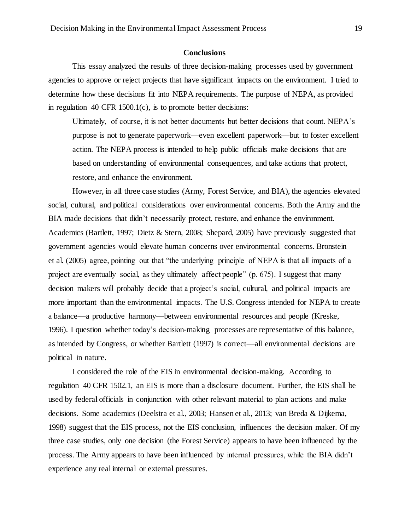#### **Conclusions**

This essay analyzed the results of three decision-making processes used by government agencies to approve or reject projects that have significant impacts on the environment. I tried to determine how these decisions fit into NEPA requirements. The purpose of NEPA, as provided in regulation 40 CFR 1500.1(c), is to promote better decisions:

Ultimately, of course, it is not better documents but better decisions that count. NEPA's purpose is not to generate paperwork—even excellent paperwork—but to foster excellent action. The NEPA process is intended to help public officials make decisions that are based on understanding of environmental consequences, and take actions that protect, restore, and enhance the environment.

However, in all three case studies (Army, Forest Service, and BIA), the agencies elevated social, cultural, and political considerations over environmental concerns. Both the Army and the BIA made decisions that didn't necessarily protect, restore, and enhance the environment. Academics (Bartlett, 1997; Dietz & Stern, 2008; Shepard, 2005) have previously suggested that government agencies would elevate human concerns over environmental concerns. Bronstein et al. (2005) agree, pointing out that "the underlying principle of NEPA is that all impacts of a project are eventually social, as they ultimately affect people" (p. 675). I suggest that many decision makers will probably decide that a project's social, cultural, and political impacts are more important than the environmental impacts. The U.S. Congress intended for NEPA to create a balance—a productive harmony—between environmental resources and people (Kreske, 1996). I question whether today's decision-making processes are representative of this balance, as intended by Congress, or whether Bartlett (1997) is correct—all environmental decisions are political in nature.

I considered the role of the EIS in environmental decision-making. According to regulation 40 CFR 1502.1, an EIS is more than a disclosure document. Further, the EIS shall be used by federal officials in conjunction with other relevant material to plan actions and make decisions. Some academics (Deelstra et al., 2003; Hansen et al., 2013; van Breda & Dijkema, 1998) suggest that the EIS process, not the EIS conclusion, influences the decision maker. Of my three case studies, only one decision (the Forest Service) appears to have been influenced by the process. The Army appears to have been influenced by internal pressures, while the BIA didn't experience any real internal or external pressures.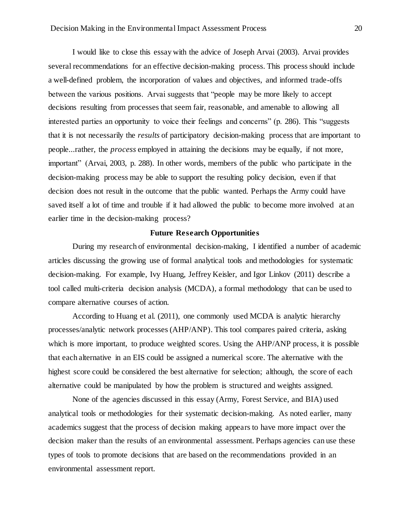I would like to close this essay with the advice of Joseph Arvai (2003). Arvai provides several recommendations for an effective decision-making process. This process should include a well-defined problem, the incorporation of values and objectives, and informed trade-offs between the various positions. Arvai suggests that "people may be more likely to accept decisions resulting from processes that seem fair, reasonable, and amenable to allowing all interested parties an opportunity to voice their feelings and concerns" (p. 286). This "suggests that it is not necessarily the *results* of participatory decision-making process that are important to people...rather, the *process* employed in attaining the decisions may be equally, if not more, important" (Arvai, 2003, p. 288). In other words, members of the public who participate in the decision-making process may be able to support the resulting policy decision, even if that decision does not result in the outcome that the public wanted. Perhaps the Army could have saved itself a lot of time and trouble if it had allowed the public to become more involved at an earlier time in the decision-making process?

## **Future Research Opportunities**

During my research of environmental decision-making, I identified a number of academic articles discussing the growing use of formal analytical tools and methodologies for systematic decision-making. For example, Ivy Huang, Jeffrey Keisler, and Igor Linkov (2011) describe a tool called multi-criteria decision analysis (MCDA), a formal methodology that can be used to compare alternative courses of action.

According to Huang et al. (2011), one commonly used MCDA is analytic hierarchy processes/analytic network processes (AHP/ANP). This tool compares paired criteria, asking which is more important, to produce weighted scores. Using the AHP/ANP process, it is possible that each alternative in an EIS could be assigned a numerical score. The alternative with the highest score could be considered the best alternative for selection; although, the score of each alternative could be manipulated by how the problem is structured and weights assigned.

None of the agencies discussed in this essay (Army, Forest Service, and BIA) used analytical tools or methodologies for their systematic decision-making. As noted earlier, many academics suggest that the process of decision making appears to have more impact over the decision maker than the results of an environmental assessment. Perhaps agencies can use these types of tools to promote decisions that are based on the recommendations provided in an environmental assessment report.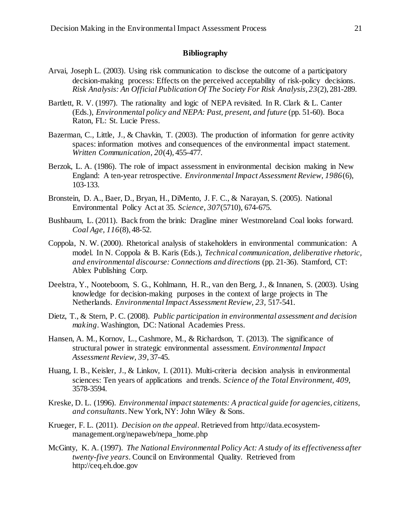## **Bibliography**

- Arvai, Joseph L. (2003). Using risk communication to disclose the outcome of a participatory decision-making process: Effects on the perceived acceptability of risk-policy decisions. *Risk Analysis: An Official Publication Of The Society For Risk Analysis, 23*(2), 281-289.
- Bartlett, R. V. (1997). The rationality and logic of NEPA revisited. In R. Clark & L. Canter (Eds.), *Environmental policy and NEPA: Past, present, and future* (pp. 51-60). Boca Raton, FL: St. Lucie Press.
- Bazerman, C., Little, J., & Chavkin, T. (2003). The production of information for genre activity spaces: information motives and consequences of the environmental impact statement. *Written Communication, 20*(4), 455-477.
- Berzok, L. A. (1986). The role of impact assessment in environmental decision making in New England: A ten-year retrospective. *Environmental Impact Assessment Review, 1986*(6), 103-133.
- Bronstein, D. A., Baer, D., Bryan, H., DiMento, J. F. C., & Narayan, S. (2005). National Environmental Policy Act at 35. *Science, 307*(5710), 674-675.
- Bushbaum, L. (2011). Back from the brink: Dragline miner Westmoreland Coal looks forward. *Coal Age, 116*(8), 48-52.
- Coppola, N. W. (2000). Rhetorical analysis of stakeholders in environmental communication: A model. In N. Coppola & B. Karis (Eds.), *Technical communication, deliberative rhetoric, and environmental discourse: Connections and directions* (pp. 21-36). Stamford, CT: Ablex Publishing Corp.
- Deelstra, Y., Nooteboom, S. G., Kohlmann, H. R., van den Berg, J., & Innanen, S. (2003). Using knowledge for decision-making purposes in the context of large projects in The Netherlands. *Environmental Impact Assessment Review, 23,* 517-541.
- Dietz, T., & Stern, P. C. (2008). *Public participation in environmental assessment and decision making*. Washington, DC: National Academies Press.
- Hansen, A. M., Kornov, L., Cashmore, M., & Richardson, T. (2013). The significance of structural power in strategic environmental assessment. *Environmental Impact Assessment Review, 39*, 37-45.
- Huang, I. B., Keisler, J., & Linkov, I. (2011). Multi-criteria decision analysis in environmental sciences: Ten years of applications and trends. *Science of the Total Environment, 409*, 3578-3594.
- Kreske, D. L. (1996). *Environmental impact statements: A practical guide for agencies, citizens, and consultants*. New York, NY: John Wiley & Sons.
- Krueger, F. L. (2011). *Decision on the appeal*. Retrieved from http://data.ecosystemmanagement.org/nepaweb/nepa\_home.php
- McGinty, K. A. (1997). *The National Environmental Policy Act: A study of its effectiveness after twenty-five years*. Council on Environmental Quality. Retrieved from http://ceq.eh.doe.gov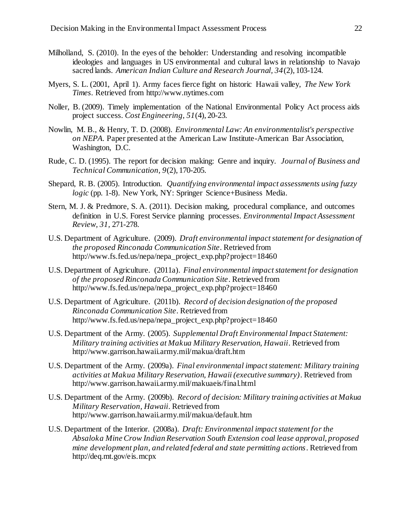- Milholland, S. (2010). In the eyes of the beholder: Understanding and resolving incompatible ideologies and languages in US environmental and cultural laws in relationship to Navajo sacred lands. *American Indian Culture and Research Journal, 34*(2), 103-124.
- Myers, S. L. (2001, April 1). Army faces fierce fight on historic Hawaii valley, *The New York Times*. Retrieved from http://www.nytimes.com
- Noller, B. (2009). Timely implementation of the National Environmental Policy Act process aids project success. *Cost Engineering, 51*(4), 20-23.
- Nowlin, M. B., & Henry, T. D. (2008). *Environmental Law: An environmentalist's perspective on NEPA*. Paper presented at the American Law Institute-American Bar Association, Washington, D.C.
- Rude, C. D. (1995). The report for decision making: Genre and inquiry. *Journal of Business and Technical Communication, 9*(2), 170-205.
- Shepard, R. B. (2005). Introduction. *Quantifying environmental impact assessments using fuzzy logic* (pp. 1-8). New York, NY: Springer Science+Business Media.
- Stern, M. J. & Predmore, S. A. (2011). Decision making, procedural compliance, and outcomes definition in U.S. Forest Service planning processes. *Environmental Impact Assessment Review, 31,* 271-278.
- U.S. Department of Agriculture. (2009). *Draft environmental impact statement for designation of the proposed Rinconada Communication Site*. Retrieved from http://www.fs.fed.us/nepa/nepa\_project\_exp.php?project=18460
- U.S. Department of Agriculture. (2011a). *Final environmental impact statement for designation of the proposed Rinconada Communication Site*. Retrieved from http://www.fs.fed.us/nepa/nepa\_project\_exp.php?project=18460
- U.S. Department of Agriculture. (2011b). *Record of decision designation of the proposed Rinconada Communication Site*. Retrieved from http://www.fs.fed.us/nepa/nepa\_project\_exp.php?project=18460
- U.S. Department of the Army. (2005). *Supplemental Draft Environmental Impact Statement: Military training activities at Makua Military Reservation, Hawaii*. Retrieved from http://www.garrison.hawaii.army.mil/makua/draft.htm
- U.S. Department of the Army. (2009a). *Final environmental impact statement: Military training activities at Makua Military Reservation, Hawaii (executive summary)*. Retrieved from http://www.garrison.hawaii.army.mil/makuaeis/final.html
- U.S. Department of the Army. (2009b). *Record of decision: Military training activities at Makua Military Reservation, Hawaii*. Retrieved from http://www.garrison.hawaii.army.mil/makua/default.htm
- U.S. Department of the Interior. (2008a). *Draft: Environmental impact statement for the Absaloka Mine Crow Indian Reservation South Extension coal lease approval, proposed mine development plan, and related federal and state permitting actions*. Retrieved from http://deq.mt.gov/eis.mcpx